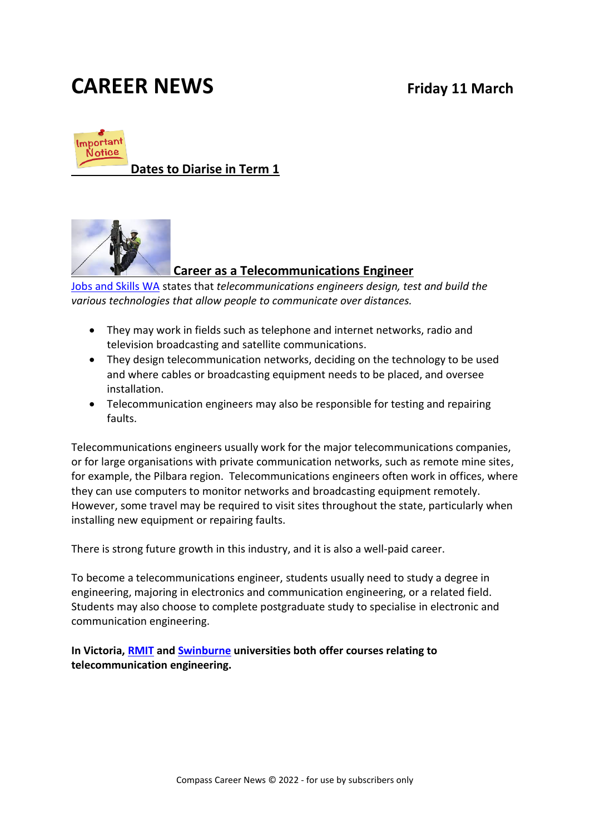# **CAREER NEWS Friday 11 March**



**Dates to Diarise in Term 1**



#### **Career as a Telecommunications Engineer**

[Jobs and Skills WA](https://www.jobsandskills.wa.gov.au/jobs-and-careers/occupations/telecommunications-engineer) states that *telecommunications engineers design, test and build the various technologies that allow people to communicate over distances.* 

- They may work in fields such as telephone and internet networks, radio and television broadcasting and satellite communications.
- They design telecommunication networks, deciding on the technology to be used and where cables or broadcasting equipment needs to be placed, and oversee installation.
- Telecommunication engineers may also be responsible for testing and repairing faults.

Telecommunications engineers usually work for the major telecommunications companies, or for large organisations with private communication networks, such as remote mine sites, for example, the Pilbara region. Telecommunications engineers often work in offices, where they can use computers to monitor networks and broadcasting equipment remotely. However, some travel may be required to visit sites throughout the state, particularly when installing new equipment or repairing faults.

There is strong future growth in this industry, and it is also a well-paid career.

To become a telecommunications engineer, students usually need to study a degree in engineering, majoring in electronics and communication engineering, or a related field. Students may also choose to complete postgraduate study to specialise in electronic and communication engineering.

**In Victoria, [RMIT](https://www.rmit.edu.au/about/schools-colleges/engineering/research/research-areas/electronic-and-telecommunications-engineering) and [Swinburne](https://www.swinburne.edu.au/courses/find-a-course/information-technology/telecommunications/) universities both offer courses relating to telecommunication engineering.**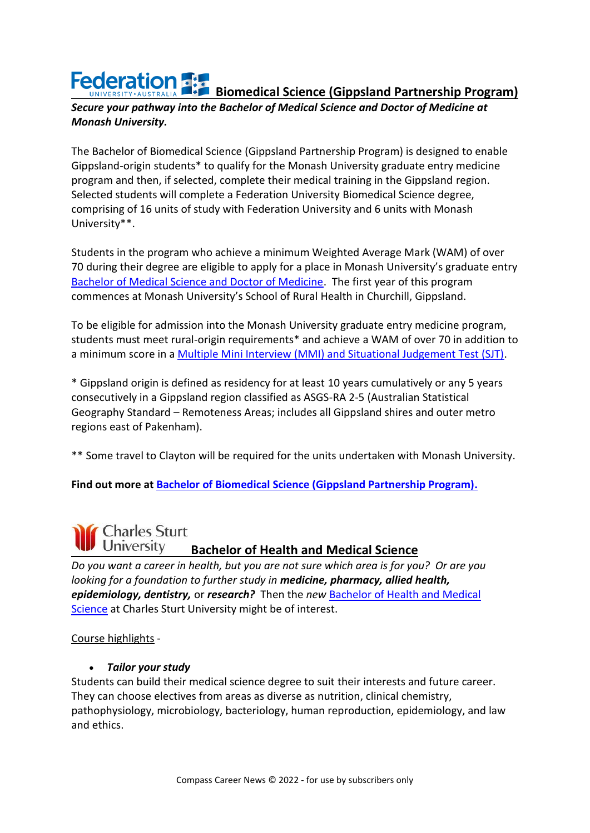# **Federation Figure Biomedical Science (Gippsland Partnership Program)**

#### *Secure your pathway into the Bachelor of Medical Science and Doctor of Medicine at Monash University.*

The Bachelor of Biomedical Science (Gippsland Partnership Program) is designed to enable Gippsland-origin students\* to qualify for the Monash University graduate entry medicine program and then, if selected, complete their medical training in the Gippsland region. Selected students will complete a Federation University Biomedical Science degree, comprising of 16 units of study with Federation University and 6 units with Monash University\*\*.

Students in the program who achieve a minimum Weighted Average Mark (WAM) of over 70 during their degree are eligible to apply for a place in Monash University's graduate entry [Bachelor of Medical Science and Doctor of Medicine.](https://www.monash.edu/medicine/som/grad-entry) The first year of this program commences at Monash University's School of Rural Health in Churchill, Gippsland.

To be eligible for admission into the Monash University graduate entry medicine program, students must meet rural-origin requirements\* and achieve a WAM of over 70 in addition to a minimum score in a [Multiple Mini Interview \(MMI\) and Situational Judgement Test \(SJT\).](https://protect-au.mimecast.com/s/6kghCp81w3uvLyAQixMVQu?domain=monash.edu)

\* Gippsland origin is defined as residency for at least 10 years cumulatively or any 5 years consecutively in a Gippsland region classified as ASGS-RA 2-5 (Australian Statistical Geography Standard – Remoteness Areas; includes all Gippsland shires and outer metro regions east of Pakenham).

\*\* Some travel to Clayton will be required for the units undertaken with Monash University.

**Find out more at [Bachelor of Biomedical Science \(Gippsland Partnership Program\).](https://study.federation.edu.au/course/DSB5.GPP)**

#### **Charles Sturt** University **Bachelor of Health and Medical Science**

*Do you want a career in health, but you are not sure which area is for you? Or are you looking for a foundation to further study in medicine, pharmacy, allied health, epidemiology, dentistry,* or *research?* Then the *new* [Bachelor of Health and Medical](https://study.csu.edu.au/courses/medical-science/bachelor-health-medical-science)  [Science](https://study.csu.edu.au/courses/medical-science/bachelor-health-medical-science) at Charles Sturt University might be of interest.

#### Course highlights -

#### • *Tailor your study*

Students can build their medical science degree to suit their interests and future career. They can choose electives from areas as diverse as nutrition, clinical chemistry, pathophysiology, microbiology, bacteriology, human reproduction, epidemiology, and law and ethics.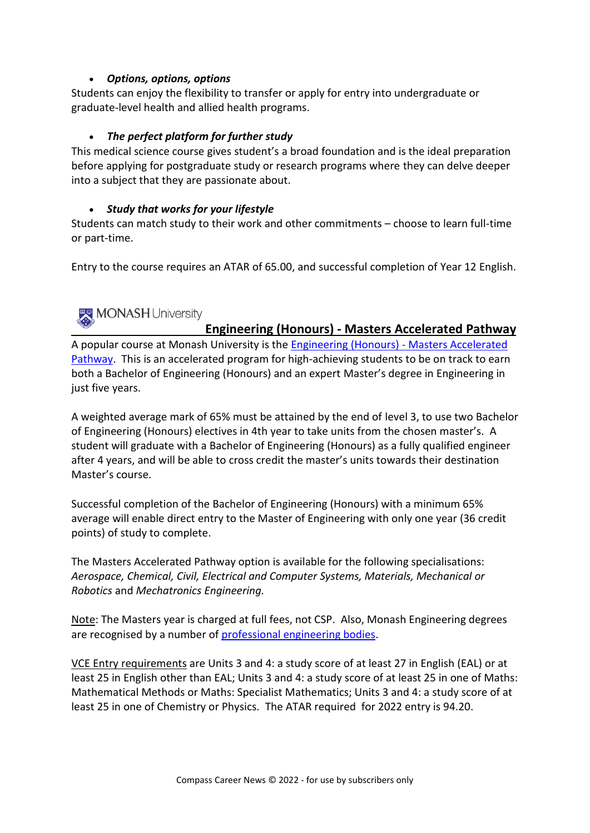#### • *Options, options, options*

Students can enjoy the flexibility to transfer or apply for entry into undergraduate or graduate-level health and allied health programs.

#### • *The perfect platform for further study*

This medical science course gives student's a broad foundation and is the ideal preparation before applying for postgraduate study or research programs where they can delve deeper into a subject that they are passionate about.

#### • *Study that works for your lifestyle*

Students can match study to their work and other commitments – choose to learn full-time or part-time.

Entry to the course requires an ATAR of 65.00, and successful completion of Year 12 English.

### MONASH University

#### **Engineering (Honours) - Masters Accelerated Pathway**

A popular course at Monash University is the [Engineering \(Honours\) -](https://www.monash.edu/study/courses/find-a-course/2022/engineering-and-engineering-e6003) Masters Accelerated [Pathway.](https://www.monash.edu/study/courses/find-a-course/2022/engineering-and-engineering-e6003) This is an accelerated program for high-achieving students to be on track to earn both a Bachelor of Engineering (Honours) and an expert Master's degree in Engineering in just five years.

A weighted average mark of 65% must be attained by the end of level 3, to use two Bachelor of Engineering (Honours) electives in 4th year to take units from the chosen master's. A student will graduate with a Bachelor of Engineering (Honours) as a fully qualified engineer after 4 years, and will be able to cross credit the master's units towards their destination Master's course.

Successful completion of the Bachelor of Engineering (Honours) with a minimum 65% average will enable direct entry to the Master of Engineering with only one year (36 credit points) of study to complete.

The Masters Accelerated Pathway option is available for the following specialisations: *Aerospace, Chemical, Civil, Electrical and Computer Systems, Materials, Mechanical or Robotics* and *Mechatronics Engineering.*

Note: The Masters year is charged at full fees, not CSP. Also, Monash Engineering degrees are recognised by a number of [professional engineering bodies.](https://www.monash.edu/engineering/future-students/studying-engineering-at-monash)

VCE Entry requirements are Units 3 and 4: a study score of at least 27 in English (EAL) or at least 25 in English other than EAL; Units 3 and 4: a study score of at least 25 in one of Maths: Mathematical Methods or Maths: Specialist Mathematics; Units 3 and 4: a study score of at least 25 in one of Chemistry or Physics. The ATAR required for 2022 entry is 94.20.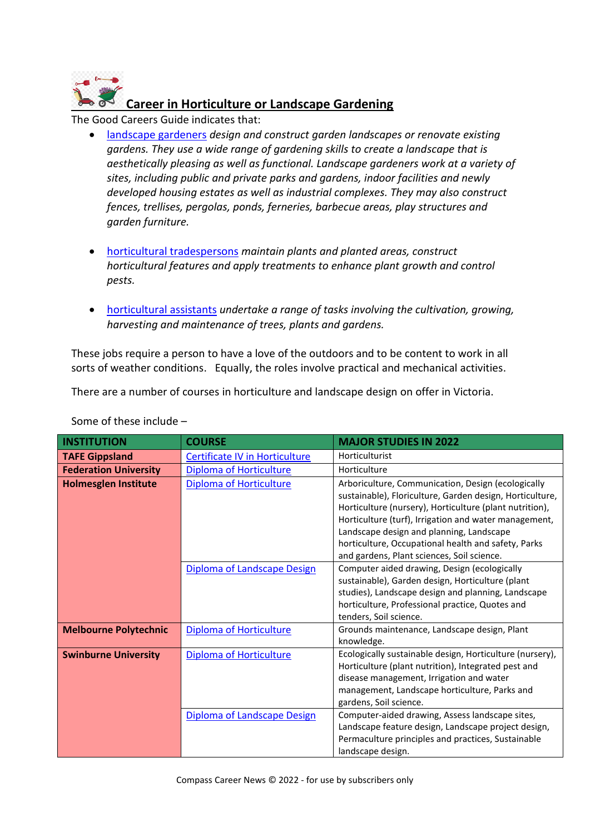

The Good Careers Guide indicates that:

- [landscape gardeners](https://www.gooduniversitiesguide.com.au/careers-guide/landscape-gardener#related-courses) *design and construct garden landscapes or renovate existing gardens. They use a wide range of gardening skills to create a landscape that is aesthetically pleasing as well as functional. Landscape gardeners work at a variety of sites, including public and private parks and gardens, indoor facilities and newly developed housing estates as well as industrial complexes. They may also construct fences, trellises, pergolas, ponds, ferneries, barbecue areas, play structures and garden furniture.*
- [horticultural tradespersons](https://www.gooduniversitiesguide.com.au/careers-guide/horticultural-tradesperson) *maintain plants and planted areas, construct horticultural features and apply treatments to enhance plant growth and control pests.*
- [horticultural assistants](https://www.gooduniversitiesguide.com.au/careers-guide/horticultural-assistant) *undertake a range of tasks involving the cultivation, growing, harvesting and maintenance of trees, plants and gardens.*

These jobs require a person to have a love of the outdoors and to be content to work in all sorts of weather conditions. Equally, the roles involve practical and mechanical activities.

There are a number of courses in horticulture and landscape design on offer in Victoria.

| <b>INSTITUTION</b>           | <b>COURSE</b>                  | <b>MAJOR STUDIES IN 2022</b>                                                                                                                                                                                                                                                                                                                                                        |
|------------------------------|--------------------------------|-------------------------------------------------------------------------------------------------------------------------------------------------------------------------------------------------------------------------------------------------------------------------------------------------------------------------------------------------------------------------------------|
| <b>TAFE Gippsland</b>        | Certificate IV in Horticulture | Horticulturist                                                                                                                                                                                                                                                                                                                                                                      |
| <b>Federation University</b> | <b>Diploma of Horticulture</b> | Horticulture                                                                                                                                                                                                                                                                                                                                                                        |
| <b>Holmesglen Institute</b>  | Diploma of Horticulture        | Arboriculture, Communication, Design (ecologically<br>sustainable), Floriculture, Garden design, Horticulture,<br>Horticulture (nursery), Horticulture (plant nutrition),<br>Horticulture (turf), Irrigation and water management,<br>Landscape design and planning, Landscape<br>horticulture, Occupational health and safety, Parks<br>and gardens, Plant sciences, Soil science. |
|                              | Diploma of Landscape Design    | Computer aided drawing, Design (ecologically<br>sustainable), Garden design, Horticulture (plant<br>studies), Landscape design and planning, Landscape<br>horticulture, Professional practice, Quotes and<br>tenders, Soil science.                                                                                                                                                 |
| <b>Melbourne Polytechnic</b> | Diploma of Horticulture        | Grounds maintenance, Landscape design, Plant<br>knowledge.                                                                                                                                                                                                                                                                                                                          |
| <b>Swinburne University</b>  | <b>Diploma of Horticulture</b> | Ecologically sustainable design, Horticulture (nursery),<br>Horticulture (plant nutrition), Integrated pest and<br>disease management, Irrigation and water<br>management, Landscape horticulture, Parks and<br>gardens, Soil science.                                                                                                                                              |
|                              | Diploma of Landscape Design    | Computer-aided drawing, Assess landscape sites,<br>Landscape feature design, Landscape project design,<br>Permaculture principles and practices, Sustainable<br>landscape design.                                                                                                                                                                                                   |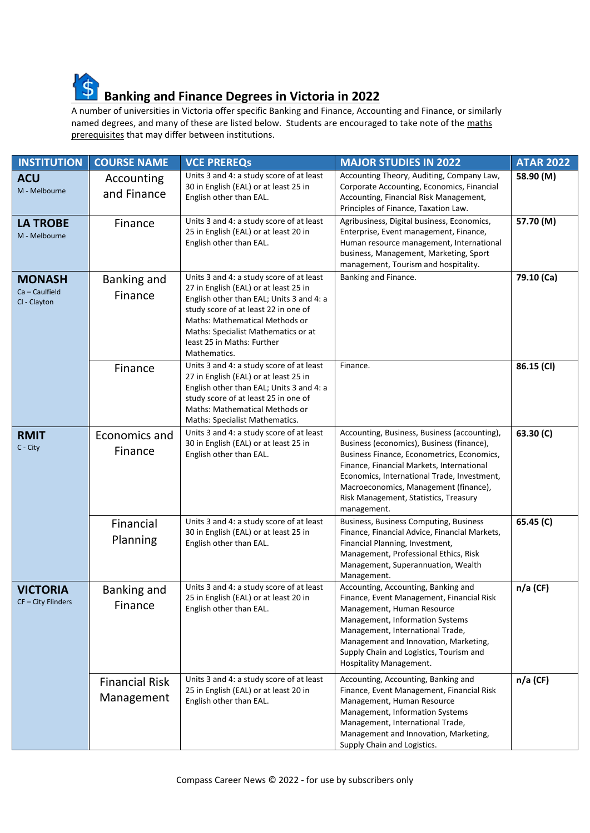

## **Banking and Finance Degrees in Victoria in 2022**

A number of universities in Victoria offer specific Banking and Finance, Accounting and Finance, or similarly named degrees, and many of these are listed below. Students are encouraged to take note of the maths prerequisites that may differ between institutions.

| <b>INSTITUTION</b>                              | <b>COURSE NAME</b>                  | <b>VCE PREREQS</b>                                                                                                                                                                                                                                                                           | <b>MAJOR STUDIES IN 2022</b>                                                                                                                                                                                                                                                                                                         | <b>ATAR 2022</b> |
|-------------------------------------------------|-------------------------------------|----------------------------------------------------------------------------------------------------------------------------------------------------------------------------------------------------------------------------------------------------------------------------------------------|--------------------------------------------------------------------------------------------------------------------------------------------------------------------------------------------------------------------------------------------------------------------------------------------------------------------------------------|------------------|
| <b>ACU</b><br>M - Melbourne                     | Accounting<br>and Finance           | Units 3 and 4: a study score of at least<br>30 in English (EAL) or at least 25 in<br>English other than EAL.                                                                                                                                                                                 | Accounting Theory, Auditing, Company Law,<br>Corporate Accounting, Economics, Financial<br>Accounting, Financial Risk Management,<br>Principles of Finance, Taxation Law.                                                                                                                                                            | 58.90 (M)        |
| <b>LA TROBE</b><br>M - Melbourne                | Finance                             | Units 3 and 4: a study score of at least<br>25 in English (EAL) or at least 20 in<br>English other than EAL.                                                                                                                                                                                 | Agribusiness, Digital business, Economics,<br>Enterprise, Event management, Finance,<br>Human resource management, International<br>business, Management, Marketing, Sport<br>management, Tourism and hospitality.                                                                                                                   | 57.70 (M)        |
| <b>MONASH</b><br>Ca - Caulfield<br>Cl - Clayton | Banking and<br>Finance              | Units 3 and 4: a study score of at least<br>27 in English (EAL) or at least 25 in<br>English other than EAL; Units 3 and 4: a<br>study score of at least 22 in one of<br>Maths: Mathematical Methods or<br>Maths: Specialist Mathematics or at<br>least 25 in Maths: Further<br>Mathematics. | Banking and Finance.                                                                                                                                                                                                                                                                                                                 | 79.10 (Ca)       |
|                                                 | Finance                             | Units 3 and 4: a study score of at least<br>27 in English (EAL) or at least 25 in<br>English other than EAL; Units 3 and 4: a<br>study score of at least 25 in one of<br>Maths: Mathematical Methods or<br>Maths: Specialist Mathematics.                                                    | Finance.                                                                                                                                                                                                                                                                                                                             | 86.15 (CI)       |
| <b>RMIT</b><br>$C - City$                       | Economics and<br>Finance            | Units 3 and 4: a study score of at least<br>30 in English (EAL) or at least 25 in<br>English other than EAL.                                                                                                                                                                                 | Accounting, Business, Business (accounting),<br>Business (economics), Business (finance),<br>Business Finance, Econometrics, Economics,<br>Finance, Financial Markets, International<br>Economics, International Trade, Investment,<br>Macroeconomics, Management (finance),<br>Risk Management, Statistics, Treasury<br>management. | 63.30(C)         |
|                                                 | Financial<br>Planning               | Units 3 and 4: a study score of at least<br>30 in English (EAL) or at least 25 in<br>English other than EAL.                                                                                                                                                                                 | Business, Business Computing, Business<br>Finance, Financial Advice, Financial Markets,<br>Financial Planning, Investment,<br>Management, Professional Ethics, Risk<br>Management, Superannuation, Wealth<br>Management.                                                                                                             | 65.45 (C)        |
| <b>VICTORIA</b><br>CF - City Flinders           | Banking and<br>Finance              | Units 3 and 4: a study score of at least<br>25 in English (EAL) or at least 20 in<br>English other than EAL.                                                                                                                                                                                 | Accounting, Accounting, Banking and<br>Finance, Event Management, Financial Risk<br>Management, Human Resource<br>Management, Information Systems<br>Management, International Trade,<br>Management and Innovation, Marketing,<br>Supply Chain and Logistics, Tourism and<br>Hospitality Management.                                 | $n/a$ (CF)       |
|                                                 | <b>Financial Risk</b><br>Management | Units 3 and 4: a study score of at least<br>25 in English (EAL) or at least 20 in<br>English other than EAL.                                                                                                                                                                                 | Accounting, Accounting, Banking and<br>Finance, Event Management, Financial Risk<br>Management, Human Resource<br>Management, Information Systems<br>Management, International Trade,<br>Management and Innovation, Marketing,<br>Supply Chain and Logistics.                                                                        | $n/a$ (CF)       |